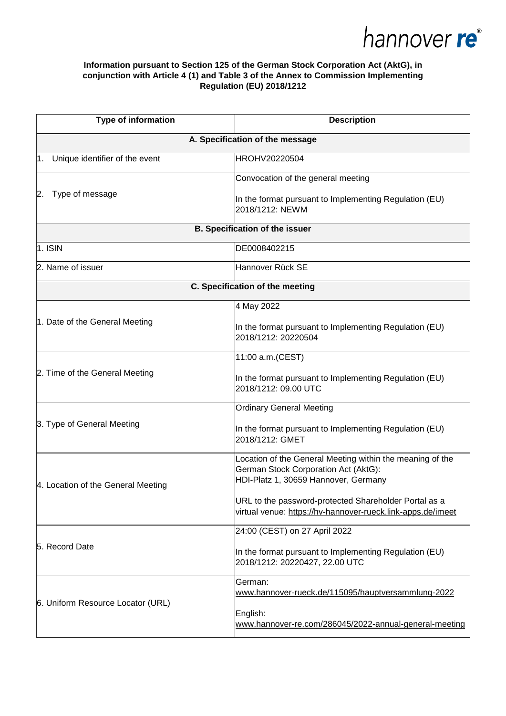

## **Information pursuant to Section 125 of the German Stock Corporation Act (AktG), in conjunction with Article 4 (1) and Table 3 of the Annex to Commission Implementing Regulation (EU) 2018/1212**

| <b>Type of information</b>            | <b>Description</b>                                                                                                                        |  |
|---------------------------------------|-------------------------------------------------------------------------------------------------------------------------------------------|--|
| A. Specification of the message       |                                                                                                                                           |  |
| Unique identifier of the event<br>1.  | HROHV20220504                                                                                                                             |  |
|                                       | Convocation of the general meeting                                                                                                        |  |
| Type of message<br>2.                 | In the format pursuant to Implementing Regulation (EU)<br>2018/1212: NEWM                                                                 |  |
| <b>B. Specification of the issuer</b> |                                                                                                                                           |  |
| $1.$ ISIN                             | DE0008402215                                                                                                                              |  |
| 2. Name of issuer                     | Hannover Rück SE                                                                                                                          |  |
| C. Specification of the meeting       |                                                                                                                                           |  |
|                                       | 4 May 2022                                                                                                                                |  |
| 1. Date of the General Meeting        | In the format pursuant to Implementing Regulation (EU)<br>2018/1212: 20220504                                                             |  |
| 2. Time of the General Meeting        | 11:00 a.m.(CEST)                                                                                                                          |  |
|                                       | In the format pursuant to Implementing Regulation (EU)<br>2018/1212: 09.00 UTC                                                            |  |
|                                       | <b>Ordinary General Meeting</b>                                                                                                           |  |
| 3. Type of General Meeting            | In the format pursuant to Implementing Regulation (EU)<br>2018/1212: GMET                                                                 |  |
| 4. Location of the General Meeting    | Location of the General Meeting within the meaning of the<br>German Stock Corporation Act (AktG):<br>HDI-Platz 1, 30659 Hannover, Germany |  |
|                                       | URL to the password-protected Shareholder Portal as a<br>virtual venue: https://hv-hannover-rueck.link-apps.de/imeet                      |  |
| 5. Record Date                        | 24:00 (CEST) on 27 April 2022                                                                                                             |  |
|                                       | In the format pursuant to Implementing Regulation (EU)<br>2018/1212: 20220427, 22.00 UTC                                                  |  |
| 6. Uniform Resource Locator (URL)     | German:<br>www.hannover-rueck.de/115095/hauptversammlung-2022                                                                             |  |
|                                       | English:<br>www.hannover-re.com/286045/2022-annual-general-meeting                                                                        |  |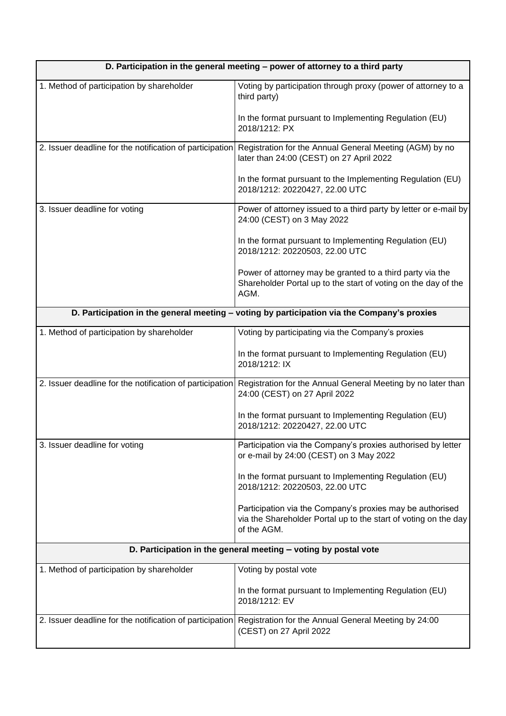| D. Participation in the general meeting - power of attorney to a third party |                                                                                                                                             |  |
|------------------------------------------------------------------------------|---------------------------------------------------------------------------------------------------------------------------------------------|--|
| 1. Method of participation by shareholder                                    | Voting by participation through proxy (power of attorney to a<br>third party)                                                               |  |
|                                                                              | In the format pursuant to Implementing Regulation (EU)<br>2018/1212: PX                                                                     |  |
| 2. Issuer deadline for the notification of participation                     | Registration for the Annual General Meeting (AGM) by no<br>later than 24:00 (CEST) on 27 April 2022                                         |  |
|                                                                              | In the format pursuant to the Implementing Regulation (EU)<br>2018/1212: 20220427, 22.00 UTC                                                |  |
| 3. Issuer deadline for voting                                                | Power of attorney issued to a third party by letter or e-mail by<br>24:00 (CEST) on 3 May 2022                                              |  |
|                                                                              | In the format pursuant to Implementing Regulation (EU)<br>2018/1212: 20220503, 22.00 UTC                                                    |  |
|                                                                              | Power of attorney may be granted to a third party via the<br>Shareholder Portal up to the start of voting on the day of the<br>AGM.         |  |
|                                                                              | D. Participation in the general meeting - voting by participation via the Company's proxies                                                 |  |
| 1. Method of participation by shareholder                                    | Voting by participating via the Company's proxies                                                                                           |  |
|                                                                              | In the format pursuant to Implementing Regulation (EU)<br>2018/1212: IX                                                                     |  |
| 2. Issuer deadline for the notification of participation                     | Registration for the Annual General Meeting by no later than<br>24:00 (CEST) on 27 April 2022                                               |  |
|                                                                              | In the format pursuant to Implementing Regulation (EU)<br>2018/1212: 20220427, 22.00 UTC                                                    |  |
| 3. Issuer deadline for voting                                                | Participation via the Company's proxies authorised by letter<br>or e-mail by 24:00 (CEST) on 3 May 2022                                     |  |
|                                                                              | In the format pursuant to Implementing Regulation (EU)<br>2018/1212: 20220503, 22.00 UTC                                                    |  |
|                                                                              | Participation via the Company's proxies may be authorised<br>via the Shareholder Portal up to the start of voting on the day<br>of the AGM. |  |
| D. Participation in the general meeting - voting by postal vote              |                                                                                                                                             |  |
| 1. Method of participation by shareholder                                    | Voting by postal vote                                                                                                                       |  |
|                                                                              | In the format pursuant to Implementing Regulation (EU)<br>2018/1212: EV                                                                     |  |
| 2. Issuer deadline for the notification of participation                     | Registration for the Annual General Meeting by 24:00<br>(CEST) on 27 April 2022                                                             |  |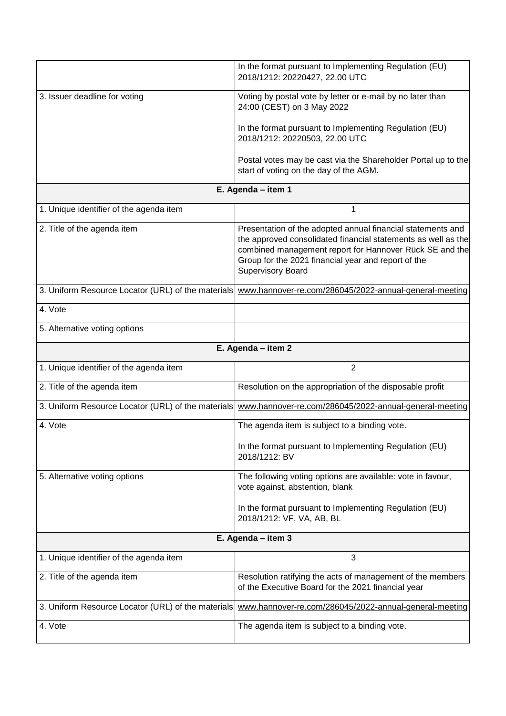|                                                    | In the format pursuant to Implementing Regulation (EU)<br>2018/1212: 20220427, 22.00 UTC                                                                                                                                                                                   |  |
|----------------------------------------------------|----------------------------------------------------------------------------------------------------------------------------------------------------------------------------------------------------------------------------------------------------------------------------|--|
| 3. Issuer deadline for voting                      | Voting by postal vote by letter or e-mail by no later than<br>24:00 (CEST) on 3 May 2022                                                                                                                                                                                   |  |
|                                                    | In the format pursuant to Implementing Regulation (EU)<br>2018/1212: 20220503, 22.00 UTC                                                                                                                                                                                   |  |
|                                                    | Postal votes may be cast via the Shareholder Portal up to the<br>start of voting on the day of the AGM.                                                                                                                                                                    |  |
| E. Agenda - item 1                                 |                                                                                                                                                                                                                                                                            |  |
| 1. Unique identifier of the agenda item            | 1                                                                                                                                                                                                                                                                          |  |
| 2. Title of the agenda item                        | Presentation of the adopted annual financial statements and<br>the approved consolidated financial statements as well as the<br>combined management report for Hannover Rück SE and the<br>Group for the 2021 financial year and report of the<br><b>Supervisory Board</b> |  |
| 3. Uniform Resource Locator (URL) of the materials | www.hannover-re.com/286045/2022-annual-general-meeting                                                                                                                                                                                                                     |  |
| 4. Vote                                            |                                                                                                                                                                                                                                                                            |  |
| 5. Alternative voting options                      |                                                                                                                                                                                                                                                                            |  |
| E. Agenda - item 2                                 |                                                                                                                                                                                                                                                                            |  |
|                                                    |                                                                                                                                                                                                                                                                            |  |
| 1. Unique identifier of the agenda item            | 2                                                                                                                                                                                                                                                                          |  |
| 2. Title of the agenda item                        | Resolution on the appropriation of the disposable profit                                                                                                                                                                                                                   |  |
| 3. Uniform Resource Locator (URL) of the materials | www.hannover-re.com/286045/2022-annual-general-meeting                                                                                                                                                                                                                     |  |
| 4. Vote                                            | The agenda item is subject to a binding vote.                                                                                                                                                                                                                              |  |
|                                                    | In the format pursuant to Implementing Regulation (EU)<br>2018/1212: BV                                                                                                                                                                                                    |  |
| 5. Alternative voting options                      | The following voting options are available: vote in favour,<br>vote against, abstention, blank                                                                                                                                                                             |  |
|                                                    | In the format pursuant to Implementing Regulation (EU)<br>2018/1212: VF, VA, AB, BL                                                                                                                                                                                        |  |
|                                                    | E. Agenda - item 3                                                                                                                                                                                                                                                         |  |
| 1. Unique identifier of the agenda item            | 3                                                                                                                                                                                                                                                                          |  |
| 2. Title of the agenda item                        | Resolution ratifying the acts of management of the members<br>of the Executive Board for the 2021 financial year                                                                                                                                                           |  |
| 3. Uniform Resource Locator (URL) of the materials | www.hannover-re.com/286045/2022-annual-general-meeting                                                                                                                                                                                                                     |  |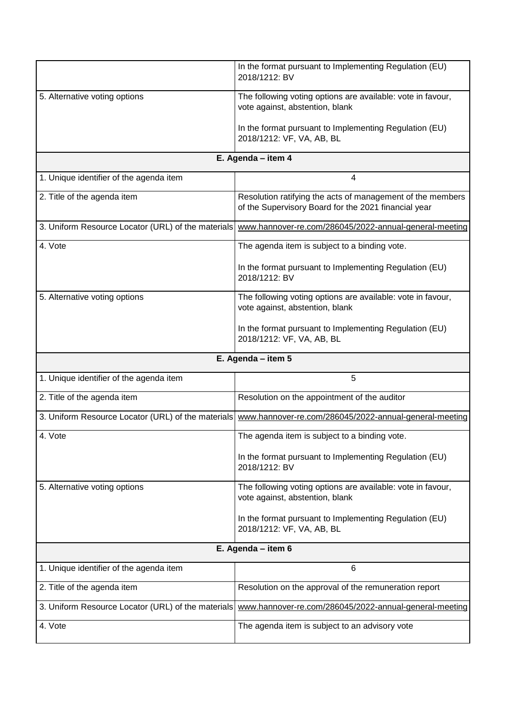|                                                    | In the format pursuant to Implementing Regulation (EU)<br>2018/1212: BV                                            |  |
|----------------------------------------------------|--------------------------------------------------------------------------------------------------------------------|--|
| 5. Alternative voting options                      | The following voting options are available: vote in favour,<br>vote against, abstention, blank                     |  |
|                                                    | In the format pursuant to Implementing Regulation (EU)<br>2018/1212: VF, VA, AB, BL                                |  |
| E. Agenda - item 4                                 |                                                                                                                    |  |
| 1. Unique identifier of the agenda item            | 4                                                                                                                  |  |
| 2. Title of the agenda item                        | Resolution ratifying the acts of management of the members<br>of the Supervisory Board for the 2021 financial year |  |
| 3. Uniform Resource Locator (URL) of the materials | www.hannover-re.com/286045/2022-annual-general-meeting                                                             |  |
| 4. Vote                                            | The agenda item is subject to a binding vote.                                                                      |  |
|                                                    | In the format pursuant to Implementing Regulation (EU)<br>2018/1212: BV                                            |  |
| 5. Alternative voting options                      | The following voting options are available: vote in favour,<br>vote against, abstention, blank                     |  |
|                                                    | In the format pursuant to Implementing Regulation (EU)<br>2018/1212: VF, VA, AB, BL                                |  |
| E. Agenda - item 5                                 |                                                                                                                    |  |
|                                                    |                                                                                                                    |  |
| 1. Unique identifier of the agenda item            | 5                                                                                                                  |  |
| 2. Title of the agenda item                        | Resolution on the appointment of the auditor                                                                       |  |
| 3. Uniform Resource Locator (URL) of the materials | www.hannover-re.com/286045/2022-annual-general-meeting                                                             |  |
| 4. Vote                                            | The agenda item is subject to a binding vote.                                                                      |  |
|                                                    | In the format pursuant to Implementing Regulation (EU)<br>2018/1212: BV                                            |  |
| 5. Alternative voting options                      | The following voting options are available: vote in favour,<br>vote against, abstention, blank                     |  |
|                                                    | In the format pursuant to Implementing Regulation (EU)<br>2018/1212: VF, VA, AB, BL                                |  |
|                                                    | E. Agenda - item 6                                                                                                 |  |
| 1. Unique identifier of the agenda item            | 6                                                                                                                  |  |
| 2. Title of the agenda item                        | Resolution on the approval of the remuneration report                                                              |  |
| 3. Uniform Resource Locator (URL) of the materials | www.hannover-re.com/286045/2022-annual-general-meeting                                                             |  |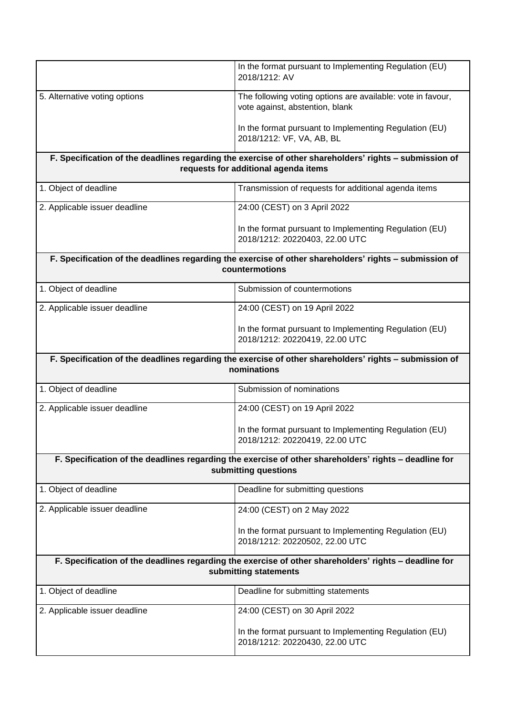|                                                                                                                                | In the format pursuant to Implementing Regulation (EU)<br>2018/1212: AV                                |  |
|--------------------------------------------------------------------------------------------------------------------------------|--------------------------------------------------------------------------------------------------------|--|
| 5. Alternative voting options                                                                                                  | The following voting options are available: vote in favour,<br>vote against, abstention, blank         |  |
|                                                                                                                                | In the format pursuant to Implementing Regulation (EU)<br>2018/1212: VF, VA, AB, BL                    |  |
|                                                                                                                                | F. Specification of the deadlines regarding the exercise of other shareholders' rights - submission of |  |
| requests for additional agenda items                                                                                           |                                                                                                        |  |
| 1. Object of deadline                                                                                                          | Transmission of requests for additional agenda items                                                   |  |
| 2. Applicable issuer deadline                                                                                                  | 24:00 (CEST) on 3 April 2022                                                                           |  |
|                                                                                                                                | In the format pursuant to Implementing Regulation (EU)<br>2018/1212: 20220403, 22.00 UTC               |  |
|                                                                                                                                | F. Specification of the deadlines regarding the exercise of other shareholders' rights - submission of |  |
|                                                                                                                                | countermotions                                                                                         |  |
| 1. Object of deadline                                                                                                          | Submission of countermotions                                                                           |  |
| 2. Applicable issuer deadline                                                                                                  | 24:00 (CEST) on 19 April 2022                                                                          |  |
|                                                                                                                                | In the format pursuant to Implementing Regulation (EU)<br>2018/1212: 20220419, 22.00 UTC               |  |
| F. Specification of the deadlines regarding the exercise of other shareholders' rights - submission of<br>nominations          |                                                                                                        |  |
| 1. Object of deadline                                                                                                          | Submission of nominations                                                                              |  |
| 2. Applicable issuer deadline                                                                                                  | 24:00 (CEST) on 19 April 2022                                                                          |  |
|                                                                                                                                | In the format pursuant to Implementing Regulation (EU)<br>2018/1212: 20220419, 22.00 UTC               |  |
| F. Specification of the deadlines regarding the exercise of other shareholders' rights - deadline for<br>submitting questions  |                                                                                                        |  |
| 1. Object of deadline                                                                                                          | Deadline for submitting questions                                                                      |  |
| 2. Applicable issuer deadline                                                                                                  | 24:00 (CEST) on 2 May 2022                                                                             |  |
|                                                                                                                                | In the format pursuant to Implementing Regulation (EU)<br>2018/1212: 20220502, 22.00 UTC               |  |
| F. Specification of the deadlines regarding the exercise of other shareholders' rights - deadline for<br>submitting statements |                                                                                                        |  |
| 1. Object of deadline                                                                                                          | Deadline for submitting statements                                                                     |  |
| 2. Applicable issuer deadline                                                                                                  | 24:00 (CEST) on 30 April 2022                                                                          |  |
|                                                                                                                                | In the format pursuant to Implementing Regulation (EU)<br>2018/1212: 20220430, 22.00 UTC               |  |